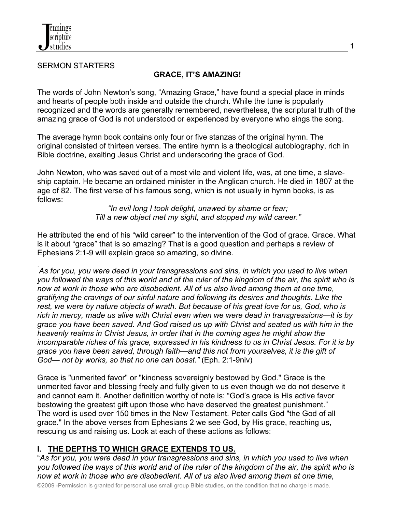

### SERMON STARTERS

### **GRACE, IT'S AMAZING!**

The words of John Newton's song, "Amazing Grace," have found a special place in minds and hearts of people both inside and outside the church. While the tune is popularly recognized and the words are generally remembered, nevertheless, the scriptural truth of the amazing grace of God is not understood or experienced by everyone who sings the song.

The average hymn book contains only four or five stanzas of the original hymn. The original consisted of thirteen verses. The entire hymn is a theological autobiography, rich in Bible doctrine, exalting Jesus Christ and underscoring the grace of God.

John Newton, who was saved out of a most vile and violent life, was, at one time, a slaveship captain. He became an ordained minister in the Anglican church. He died in 1807 at the age of 82. The first verse of his famous song, which is not usually in hymn books, is as follows:

> *"In evil long I took delight, unawed by shame or fear; Till a new object met my sight, and stopped my wild career."*

He attributed the end of his "wild career" to the intervention of the God of grace. Grace. What is it about "grace" that is so amazing? That is a good question and perhaps a review of Ephesians 2:1-9 will explain grace so amazing, so divine.

*" As for you, you were dead in your transgressions and sins, in which you used to live when you followed the ways of this world and of the ruler of the kingdom of the air, the spirit who is now at work in those who are disobedient. All of us also lived among them at one time, gratifying the cravings of our sinful nature and following its desires and thoughts. Like the rest, we were by nature objects of wrath. But because of his great love for us, God, who is rich in mercy, made us alive with Christ even when we were dead in transgressions—it is by grace you have been saved. And God raised us up with Christ and seated us with him in the heavenly realms in Christ Jesus, in order that in the coming ages he might show the incomparable riches of his grace, expressed in his kindness to us in Christ Jesus. For it is by grace you have been saved, through faith—and this not from yourselves, it is the gift of God— not by works, so that no one can boast."* (Eph. 2:1-9niv)

Grace is "unmerited favor" or "kindness sovereignly bestowed by God." Grace is the unmerited favor and blessing freely and fully given to us even though we do not deserve it and cannot earn it. Another definition worthy of note is: "God's grace is His active favor bestowing the greatest gift upon those who have deserved the greatest punishment." The word is used over 150 times in the New Testament. Peter calls God "the God of all grace." In the above verses from Ephesians 2 we see God, by His grace, reaching us, rescuing us and raising us. Look at each of these actions as follows:

# **I. THE DEPTHS TO WHICH GRACE EXTENDS TO US.**

"*As for you, you were dead in your transgressions and sins, in which you used to live when you followed the ways of this world and of the ruler of the kingdom of the air, the spirit who is now at work in those who are disobedient. All of us also lived among them at one time,* 

©2009 -Permission is granted for personal use small group Bible studies, on the condition that no charge is made.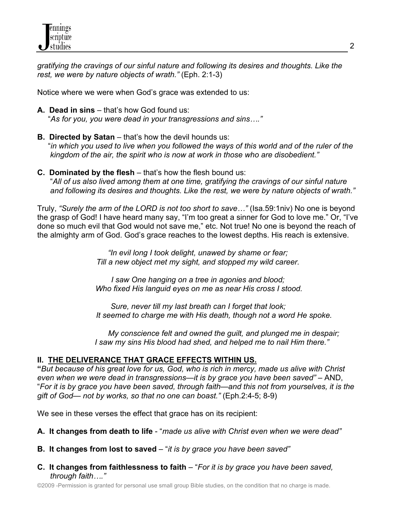*gratifying the cravings of our sinful nature and following its desires and thoughts. Like the rest, we were by nature objects of wrath."* (Eph. 2:1-3)

Notice where we were when God's grace was extended to us:

**A. Dead in sins** – that's how God found us:

"*As for you, you were dead in your transgressions and sins…."* 

**B. Directed by Satan** – that's how the devil hounds us:

 "*in which you used to live when you followed the ways of this world and of the ruler of the kingdom of the air, the spirit who is now at work in those who are disobedient."*

**C. Dominated by the flesh** – that's how the flesh bound us: "*All of us also lived among them at one time, gratifying the cravings of our sinful nature and following its desires and thoughts. Like the rest, we were by nature objects of wrath."*

Truly, *"Surely the arm of the LORD is not too short to save…"* (Isa.59:1niv) No one is beyond the grasp of God! I have heard many say, "I'm too great a sinner for God to love me." Or, "I've done so much evil that God would not save me," etc. Not true! No one is beyond the reach of the almighty arm of God. God's grace reaches to the lowest depths. His reach is extensive.

> *"In evil long I took delight, unawed by shame or fear; Till a new object met my sight, and stopped my wild career.*

*I saw One hanging on a tree in agonies and blood; Who fixed His languid eyes on me as near His cross I stood.*

 *Sure, never till my last breath can I forget that look; It seemed to charge me with His death, though not a word He spoke.*

 *My conscience felt and owned the guilt, and plunged me in despair; I saw my sins His blood had shed, and helped me to nail Him there."*

# **II. THE DELIVERANCE THAT GRACE EFFECTS WITHIN US.**

**"***But because of his great love for us, God, who is rich in mercy, made us alive with Christ even when we were dead in transgressions—it is by grace you have been saved" –* AND, "*For it is by grace you have been saved, through faith—and this not from yourselves, it is the gift of God— not by works, so that no one can boast."* (Eph.2:4-5; 8-9)

We see in these verses the effect that grace has on its recipient:

**A. It changes from death to life** - "*made us alive with Christ even when we were dead"*

- **B. It changes from lost to saved** "*it is by grace you have been saved"*
- **C. It changes from faithlessness to faith** "*For it is by grace you have been saved, through faith…."*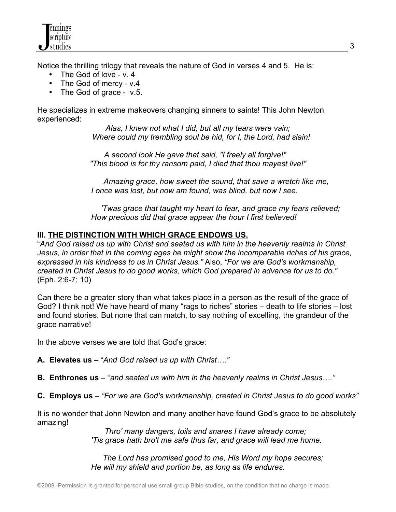

Notice the thrilling trilogy that reveals the nature of God in verses 4 and 5. He is:

- The God of love v. 4
- The God of mercy v.4
- The God of grace v.5.

He specializes in extreme makeovers changing sinners to saints! This John Newton experienced:

> *Alas, I knew not what I did, but all my tears were vain; Where could my trembling soul be hid, for I, the Lord, had slain!*

 *A second look He gave that said, "I freely all forgive!" "This blood is for thy ransom paid, I died that thou mayest live!"*

 *Amazing grace, how sweet the sound, that save a wretch like me, I once was lost, but now am found, was blind, but now I see.*

 *'Twas grace that taught my heart to fear, and grace my fears relieved; How precious did that grace appear the hour I first believed!*

#### **III. THE DISTINCTION WITH WHICH GRACE ENDOWS US.**

"*And God raised us up with Christ and seated us with him in the heavenly realms in Christ Jesus, in order that in the coming ages he might show the incomparable riches of his grace, expressed in his kindness to us in Christ Jesus."* Also, *"For we are God's workmanship, created in Christ Jesus to do good works, which God prepared in advance for us to do."* (Eph. 2:6-7; 10)

Can there be a greater story than what takes place in a person as the result of the grace of God? I think not! We have heard of many "rags to riches" stories – death to life stories – lost and found stories. But none that can match, to say nothing of excelling, the grandeur of the grace narrative!

In the above verses we are told that God's grace:

**A. Elevates us** – "*And God raised us up with Christ…."*

- **B. Enthrones us** "*and seated us with him in the heavenly realms in Christ Jesus…."*
- **C. Employs us** *"For we are God's workmanship, created in Christ Jesus to do good works"*

It is no wonder that John Newton and many another have found God's grace to be absolutely amazing!

> *Thro' many dangers, toils and snares I have already come; 'Tis grace hath bro't me safe thus far, and grace will lead me home.*

> *The Lord has promised good to me, His Word my hope secures; He will my shield and portion be, as long as life endures.*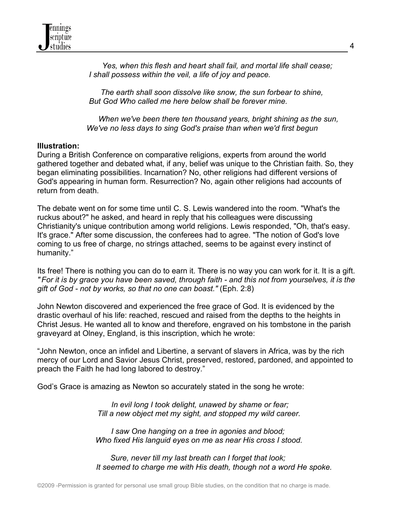

 *Yes, when this flesh and heart shall fail, and mortal life shall cease; I shall possess within the veil, a life of joy and peace.*

 *The earth shall soon dissolve like snow, the sun forbear to shine, But God Who called me here below shall be forever mine.*

 *When we've been there ten thousand years, bright shining as the sun, We've no less days to sing God's praise than when we'd first begun*

#### **Illustration:**

During a British Conference on comparative religions, experts from around the world gathered together and debated what, if any, belief was unique to the Christian faith. So, they began eliminating possibilities. Incarnation? No, other religions had different versions of God's appearing in human form. Resurrection? No, again other religions had accounts of return from death.

The debate went on for some time until C. S. Lewis wandered into the room. "What's the ruckus about?" he asked, and heard in reply that his colleagues were discussing Christianity's unique contribution among world religions. Lewis responded, "Oh, that's easy. It's grace." After some discussion, the conferees had to agree. "The notion of God's love coming to us free of charge, no strings attached, seems to be against every instinct of humanity."

Its free! There is nothing you can do to earn it. There is no way you can work for it. It is a gift. *" For it is by grace you have been saved, through faith - and this not from yourselves, it is the gift of God - not by works, so that no one can boast."* (Eph. 2:8)

John Newton discovered and experienced the free grace of God. It is evidenced by the drastic overhaul of his life: reached, rescued and raised from the depths to the heights in Christ Jesus. He wanted all to know and therefore, engraved on his tombstone in the parish graveyard at Olney, England, is this inscription, which he wrote:

"John Newton, once an infidel and Libertine, a servant of slavers in Africa, was by the rich mercy of our Lord and Savior Jesus Christ, preserved, restored, pardoned, and appointed to preach the Faith he had long labored to destroy."

God's Grace is amazing as Newton so accurately stated in the song he wrote:

 *In evil long I took delight, unawed by shame or fear; Till a new object met my sight, and stopped my wild career.*

*I saw One hanging on a tree in agonies and blood; Who fixed His languid eyes on me as near His cross I stood.*

*Sure, never till my last breath can I forget that look; It seemed to charge me with His death, though not a word He spoke.*